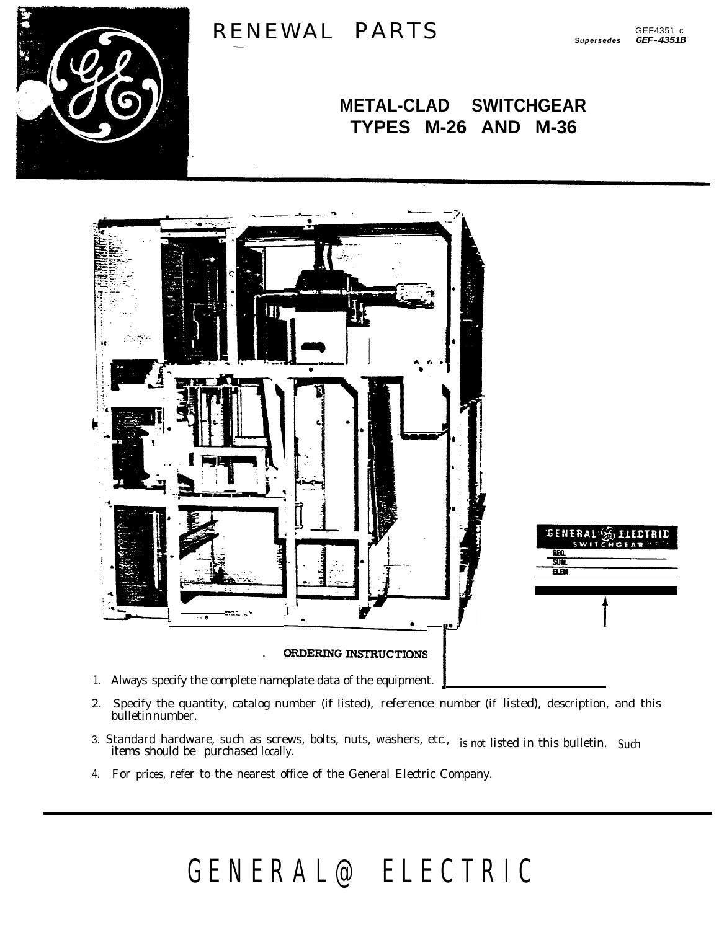

## RENEWAL PARTS

## **METAL-CLAD SWITCHGEAR** TYPES M-26 AND M-36



- 1. Always specify the complete nameplate data of the equipment.
- Specify the quantity, catalog number (if listed), reference number (if listed), description, and this 2. bulletinnumber.
- 3. Standard hardware, such as screws, bolts, nuts, washers, etc., is not listed in this bulletin. Such items should be purchased locally.
- 4. For prices, refer to the nearest office of the General Electric Company.

## GENERAL@ELECTRIC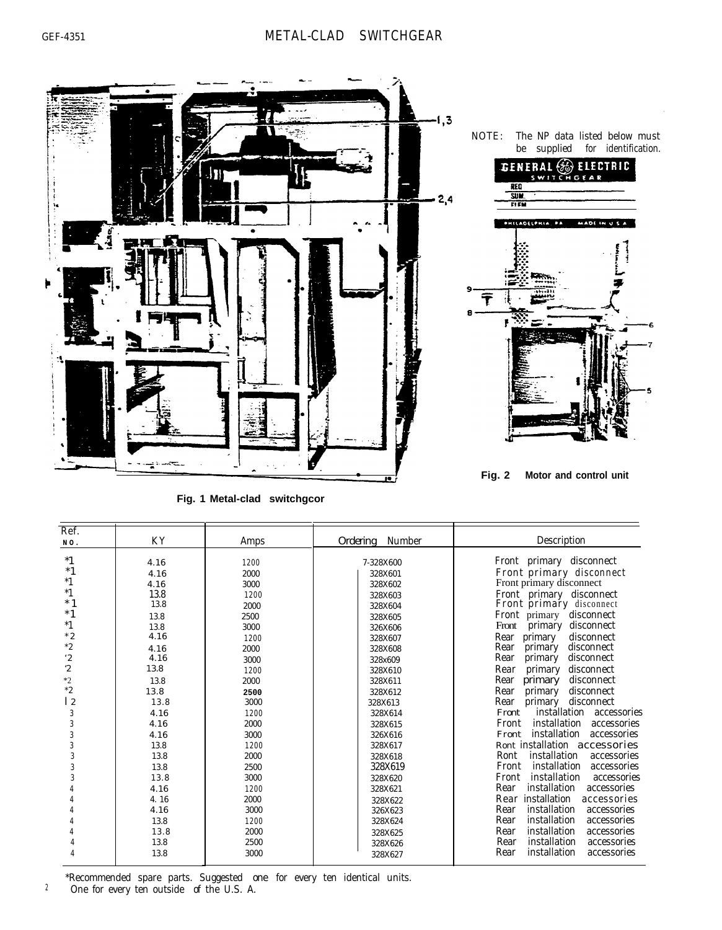

**Fig. 1 Metal-clad switchgcor** 

| Ref.                                                                                                                                           | K Y                                                                                                                                                                                  | Amps                                                                                                                                                                                 | Ordering Number                                                                                                                                                                                                                                             | Description                                                                                                                                                                                                                                                                                                                                                                                                                                                                                                                                                                                                                                                                                                                                                                                           |
|------------------------------------------------------------------------------------------------------------------------------------------------|--------------------------------------------------------------------------------------------------------------------------------------------------------------------------------------|--------------------------------------------------------------------------------------------------------------------------------------------------------------------------------------|-------------------------------------------------------------------------------------------------------------------------------------------------------------------------------------------------------------------------------------------------------------|-------------------------------------------------------------------------------------------------------------------------------------------------------------------------------------------------------------------------------------------------------------------------------------------------------------------------------------------------------------------------------------------------------------------------------------------------------------------------------------------------------------------------------------------------------------------------------------------------------------------------------------------------------------------------------------------------------------------------------------------------------------------------------------------------------|
| NO.<br>$*1$<br>$*1$<br>$^*1$<br>$*1$<br>$*1$<br>$*1$<br>$*1$<br>$*2$<br>$*2$<br>$^{\circ}2$<br>$\ddot{2}$<br>$*2$<br>$*2$<br>12<br>3<br>3<br>3 | 4.16<br>4.16<br>4.16<br>13.8<br>13.8<br>13.8<br>13.8<br>4.16<br>4.16<br>4.16<br>13.8<br>13.8<br>13.8<br>13.8<br>4.16<br>4.16<br>4.16<br>13.8<br>13.8<br>13.8<br>13.8<br>4.16<br>4.16 | 1200<br>2000<br>3000<br>1200<br>2000<br>2500<br>3000<br>1200<br>2000<br>3000<br>1200<br>2000<br>2500<br>3000<br>1200<br>2000<br>3000<br>1200<br>2000<br>2500<br>3000<br>1200<br>2000 | 7-328X600<br>328X601<br>328X602<br>328X603<br>328X604<br>328X605<br>326X606<br>328X607<br>328X608<br>328x609<br>328X610<br>328X611<br>328X612<br>328X613<br>328X614<br>328X615<br>326X616<br>328X617<br>328X618<br>328X619<br>328X620<br>328X621<br>328X622 | Front primary disconnect<br>Front primary disconnect<br>Front primary disconnect<br>Front primary disconnect<br>Front primary disconnect<br>disconnect<br>Front primary<br>disconnect<br>Front<br>primary<br>disconnect<br>Rear primary<br>Rear<br>primary<br>disconnect<br>Rear<br>disconnect<br>primary<br>Rear<br>primary<br>disconnect<br>Rear<br>primary<br>disconnect<br>Rear<br>primary<br>disconnect<br>disconnect<br>primary<br>Rear<br>installation accessories<br>Front<br>installation<br>Front<br>accessories<br>installation<br>accessories<br>Front<br>Ront installation accessories<br>installation<br>Ront<br>accessories<br>installation<br>Front<br>accessories<br>installation<br>Front<br>accessories<br>installation<br>Rear<br>accessories<br>Rear installation<br>accessories |
|                                                                                                                                                | 4.16<br>13.8                                                                                                                                                                         | 3000<br>1200                                                                                                                                                                         | 326X623<br>328X624                                                                                                                                                                                                                                          | installation<br>Rear<br>accessories<br>installation<br>Rear<br>accessories                                                                                                                                                                                                                                                                                                                                                                                                                                                                                                                                                                                                                                                                                                                            |
|                                                                                                                                                | 13.8<br>13.8<br>13.8                                                                                                                                                                 | 2000<br>2500<br>3000                                                                                                                                                                 | 328X625<br>328X626<br>328X627                                                                                                                                                                                                                               | installation<br>Rear<br>accessories<br>installation<br>Rear<br>accessories<br>installation<br>Rear<br>accessories                                                                                                                                                                                                                                                                                                                                                                                                                                                                                                                                                                                                                                                                                     |

\*Recommended spare parts. Suggested one for every ten identical units. <sup>2</sup> One for every ten outside of the U.S. A.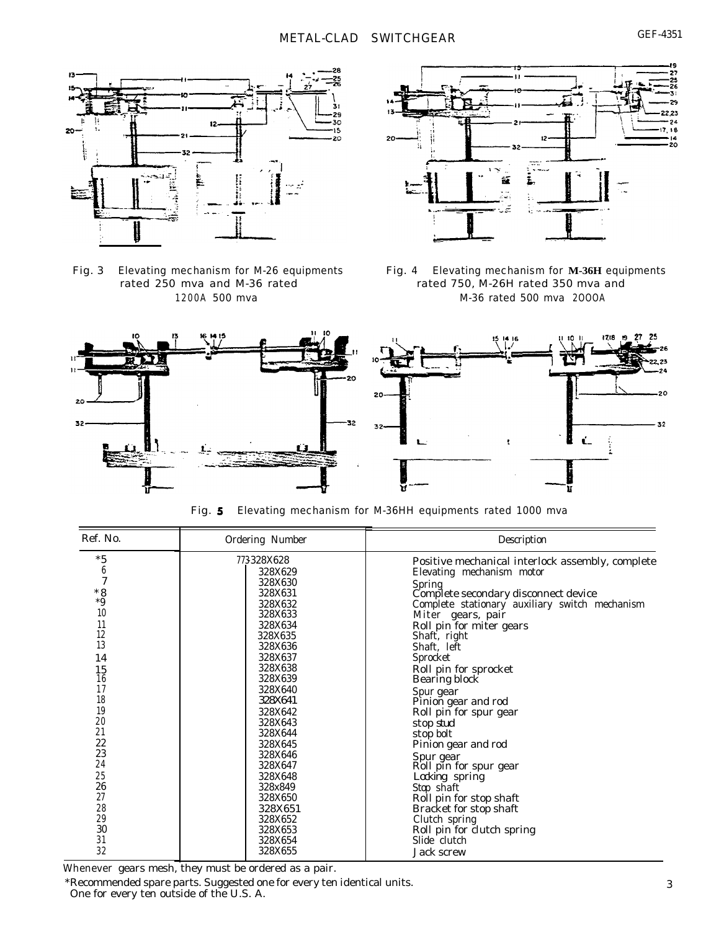



Fig. 3 Elevating mechanism for M-26 equipments Fig. 4 Elevating mechanism for **M-36H** equipments rated 250 mva and M-36 rated rated 750, M-26H rated 350 mva and 1200A 500 mva M-36 rated 500 mva 2OOOA



Fig. 5 Elevating mechanism for M-36HH equipments rated 1000 mva

| Ref. No. | Ordering Number | Description                                      |
|----------|-----------------|--------------------------------------------------|
| $*5$     | 773328X628      | Positive mechanical interlock assembly, complete |
| 6        | 328X629         | Elevating mechanism motor                        |
| 7        | 328X630         | Spring                                           |
| $*8$     | 328X631         | Complete secondary disconnect device             |
| $*9$     | 328X632         | Complete stationary auxiliary switch mechanism   |
| 10       | 328X633         | Miter gears, pair                                |
| 11       | 328X634         | Roll pin for miter gears                         |
| 12       | 328X635         | Shaft, right                                     |
| 13       | 328X636         | Shaft, left                                      |
| 14       | 328X637         | Sprocket                                         |
| 15       | 328X638         | Roll pin for sprocket                            |
| 16       | 328X639         | Bearing block                                    |
| 17       | 328X640         | Spur gear                                        |
| 18       | 328X641         | Pinion gear and rod                              |
| 19       | 328X642         | Roll pin for spur gear                           |
| 20       | 328X643         | stop stud                                        |
| 21       | 328X644         | stop bolt                                        |
| 22       | 328X645         | Pinion gear and rod                              |
| 23       | 328X646         | Spur gear                                        |
| 24       | 328X647         | Roll pin for spur gear                           |
| 25       | 328X648         | Locking spring                                   |
| 26       | 328x849         | Stop shaft                                       |
| 27       | 328X650         | Roll pin for stop shaft                          |
| 28       | 328X651         | Bracket for stop shaft                           |
| 29       | 328X652         | Clutch spring                                    |
| 30       | 328X653         | Roll pin for clutch spring                       |
| 31       | 328X654         | Slide clutch                                     |
| 32       | 328X655         | Jack screw                                       |

Whenever gears mesh, they must be ordered as a pair.<br>\*Recommended spare parts. Suggested one for every ten identical units.

One for every ten outside of the U.S. A.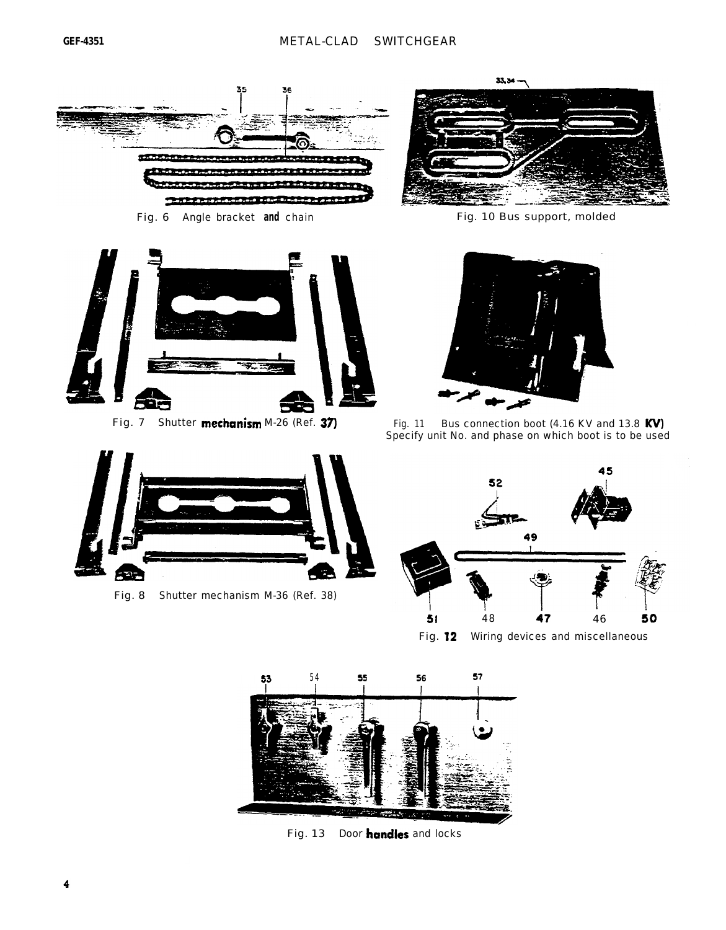

Fig. 6 Angle bracket **and** chain Fig. 10 Bus support, molded



Fig. 7 Shutter **mechanism** M-26 (Ref. 37)

Fig. 8 Shutter mechanism M-36 (Ref. 38)

52F





Fig. 11 Bus connection boot  $(4.16$  KV and 13.8 KV) Specify unit No. and phase on which boot is to be used



Fig. 12 Wiring devices and miscellaneous



75,

Fig. 13 Door handles and locks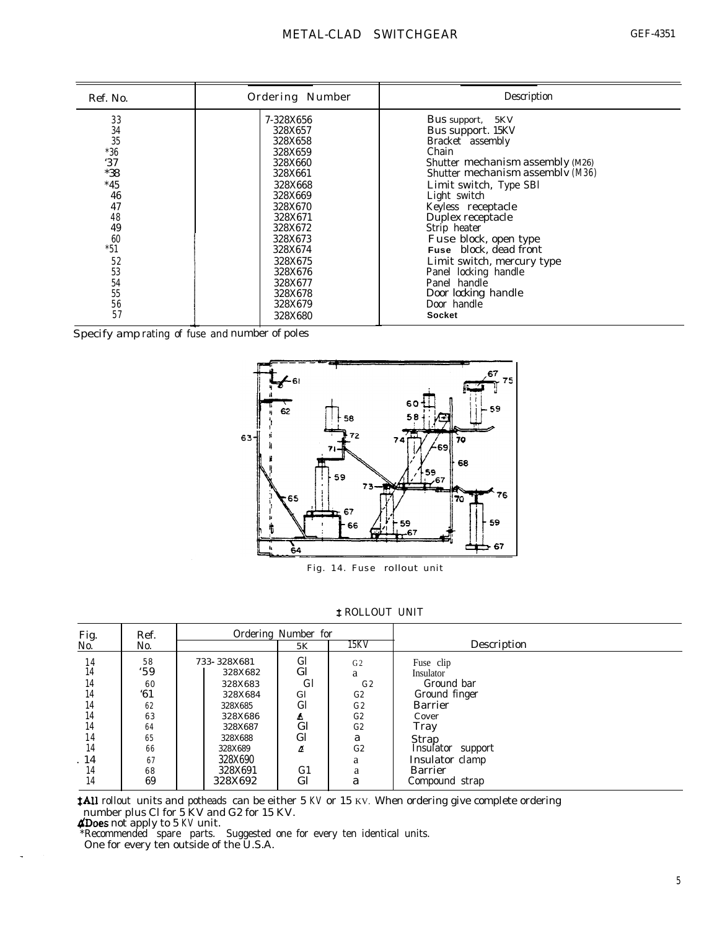| Ref. No.                                                                                                                    | Ordering Number                                                                                                                                                                                                 | Description                                                                                                                                                                                                                                                                                                                                                                                                                 |
|-----------------------------------------------------------------------------------------------------------------------------|-----------------------------------------------------------------------------------------------------------------------------------------------------------------------------------------------------------------|-----------------------------------------------------------------------------------------------------------------------------------------------------------------------------------------------------------------------------------------------------------------------------------------------------------------------------------------------------------------------------------------------------------------------------|
| 33<br>34<br>35<br>$*36$<br>'37<br>$*38$<br>$*45$<br>46<br>47<br>48<br>49<br>60<br>$*51$<br>52<br>53<br>54<br>55<br>56<br>57 | 7-328X656<br>328X657<br>328X658<br>328X659<br>328X660<br>328X661<br>328X668<br>328X669<br>328X670<br>328X671<br>328X672<br>328X673<br>328X674<br>328X675<br>328X676<br>328X677<br>328X678<br>328X679<br>328X680 | Bus support,<br>5KV<br>Bus support. 15KV<br>Bracket assembly<br>Chain<br>Shutter mechanism assembly (M26)<br>Shutter mechanism assembly (M36)<br>Limit switch, Type SBl<br>Light switch<br>Keyless receptacle<br>Duplex receptacle<br>Strip heater<br>Fuse block, open type<br>Fuse block, dead front<br>Limit switch, mercury type<br>Panel locking handle<br>Panel handle<br>Door locking handle<br>Door handle<br>Socket |
|                                                                                                                             | Specify amp rating of fuse and number of poles                                                                                                                                                                  |                                                                                                                                                                                                                                                                                                                                                                                                                             |



Fig. 14. Fuse rollout unit

**‡ ROLLOUT UNIT** 

| Fig.<br>No.                                                          | Ref.                                                                  |                                                                                                                                      | Ordering Number for                                                                                                        |                                                                                                     |                                                                                                                                                                               |
|----------------------------------------------------------------------|-----------------------------------------------------------------------|--------------------------------------------------------------------------------------------------------------------------------------|----------------------------------------------------------------------------------------------------------------------------|-----------------------------------------------------------------------------------------------------|-------------------------------------------------------------------------------------------------------------------------------------------------------------------------------|
|                                                                      | No.                                                                   |                                                                                                                                      | 5K                                                                                                                         | 15KV                                                                                                | Description                                                                                                                                                                   |
| 14<br>14<br>14<br>14<br>14<br>14<br>14<br>14<br>14<br>14<br>14<br>14 | 58<br>.59<br>60<br>61<br>62<br>63<br>64<br>65<br>66<br>67<br>68<br>69 | 733-328X681<br>328X682<br>328X683<br>328X684<br>328X685<br>328X686<br>328X687<br>328X688<br>328X689<br>328X690<br>328X691<br>328X692 | Gl<br>G <sub>l</sub><br><b>G</b> l<br>Gl<br>G <sub>l</sub><br>A<br>$_{\rm Gl}$<br>Gl<br>z<br>G <sub>1</sub><br>$_{\rm Gl}$ | G <sub>2</sub><br>a<br>G <sub>2</sub><br>G2<br>G2<br>G2<br>G <sub>2</sub><br>a<br>G2<br>a<br>a<br>a | Fuse clip<br>Insulator<br>Ground bar<br>Ground finger<br><b>Barrier</b><br>Cover<br>Tray<br>Strap<br>Insulator support<br>Insulator clamp<br><b>Barrier</b><br>Compound strap |

**#All** rollout units and potheads can be either 5 KV or 15 KV. When ordering give complete ordering number plus Cl for 5 KV and G2 for 15 KV.

 $\Delta$ Does not apply to 5 KV unit.

\*Recommended spare parts. Suggested one for every ten identical units.

One for every ten outside of the U.S.A.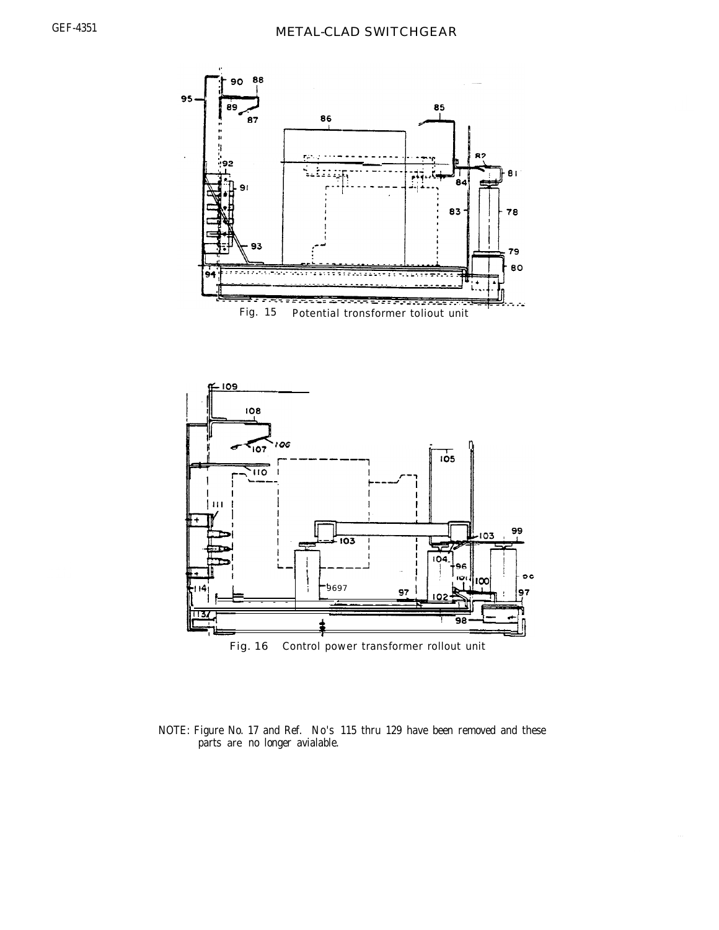



NOTE: Figure No. 17 and Ref. No's 115 thru 129 have been removed and these parts are no longer avialable.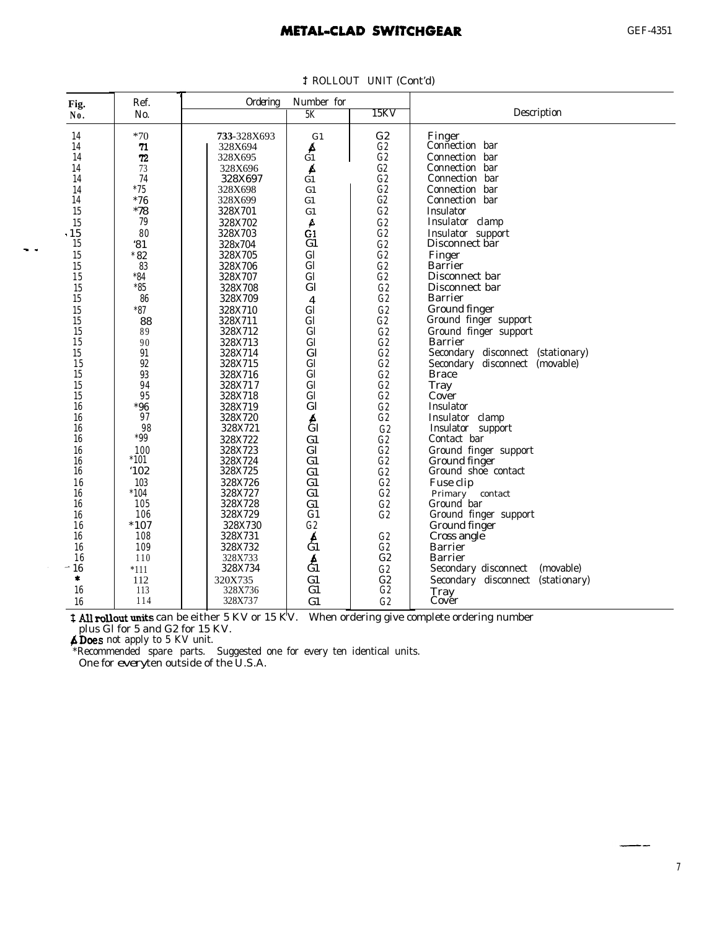## **METAL-CLAD SWITCHGEAR**

| Fig.           | Ref.       | Ordering           | Number for              |                |                                      |
|----------------|------------|--------------------|-------------------------|----------------|--------------------------------------|
| No.            | No.        |                    | 5K                      | 15KV           | Description                          |
| 14             | $*70$      | <b>733-328X693</b> | G <sub>1</sub>          | G <sub>2</sub> | Finger                               |
| 14             | 71         | 328X694            | Á                       | G2             | Connection bar                       |
| 14             | 72         | 328X695            | Ġ1                      | G2             | Connection bar                       |
| 14             | 73         | 328X696            | Á                       | G2             | Connection bar                       |
| 14             | 74         | 328X697            | G1                      | G2             | Connection bar                       |
| 14             | $*75$      | 328X698            | G1                      | G2             | Connection bar                       |
| 14             | $*76$      | 328X699            | G1                      | G2             | Connection bar                       |
| 15             | $*78$      | 328X701            | G1                      | G2             | Insulator                            |
| 15             | 79         | 328X702            | A                       | G2             | Insulator clamp                      |
| .15            | 80         | 328X703            | G1                      | G2             | Insulator support                    |
| 15             | 31         | 328x704            | G1                      | G2             | Disconnect bar                       |
| 15             | $*82$      | 328X705            | G <sub>l</sub>          | G2             | Finger                               |
| 15             | 83         | 328X706            | G <sub>l</sub>          | G2             | <b>Barrier</b>                       |
| 15             | $*84$      | 328X707            | G <sub>l</sub>          | G2             | Disconnect bar                       |
| 15             | $*85$      | 328X708            | G <sub>l</sub>          | G2             | Disconnect bar                       |
| 15             | 86         | 328X709            | $\overline{\mathbf{4}}$ | G2             | <b>Barrier</b>                       |
| 15             | $^\ast 87$ | 328X710            | G <sub>l</sub>          | G2             | Ground finger                        |
| 15             | 88         | 328X711            | G <sub>l</sub>          | G2             | Ground finger support                |
| 15             | 89         | 328X712            | G <sub>l</sub>          | G2             | Ground finger support                |
| 15             | 90         | 328X713            | G <sub>l</sub>          | G2             | <b>Barrier</b>                       |
| 15             | 91         | 328X714            | G <sub>l</sub>          | G2             | Secondary disconnect (stationary)    |
| 15             | 92         | 328X715            | G <sub>l</sub>          | G2             | Secondary disconnect (movable)       |
| 15             | 93         | 328X716            | G <sub>l</sub>          | G2             | <b>Brace</b>                         |
| 15             | 94         | 328X717            | G <sub>l</sub>          | G2             | Tray                                 |
| 15             | 95         | 328X718            | G <sub>l</sub>          | G2             | Cover                                |
| 16             | $*96$      | 328X719            | G <sub>l</sub>          | G2             | Insulator                            |
| 16             | 97         | 328X720            | $\frac{A}{C}$           | G2             | Insulator clamp                      |
| 16             | 98         | 328X721            |                         | G2             | Insulator support                    |
| 16             | $*99$      | 328X722            | G1                      | G2             | Contact bar                          |
| 16             | 100        | 328X723            | G <sub>l</sub>          | G2             | Ground finger support                |
| 16             | $*101$     | 328X724            | G1                      | G2             | Ground finger                        |
| 16             | '102       | 328X725            | G1                      | G2             | Ground shoe contact                  |
| 16             | 103        | 328X726            | G1                      | G2             | Fuse clip                            |
| 16             | $*104$     | 328X727            | G1                      | G2             | Primary contact                      |
| 16             | 105        | 328X728            | G1                      | G2             | Ground bar                           |
| 16             | 106        | 328X729            | G1                      | G2             | Ground finger support                |
| 16             | $*107$     | 328X730            | G2                      |                | Ground finger                        |
| 16             | 108        | 328X731            | Á                       | G2             | Cross angle                          |
| 16             | 109        | 328X732            | Ġ1                      | G2             | <b>Barrier</b>                       |
| 16             | 110        | 328X733            | $\frac{A}{C1}$          | C <sub>2</sub> | <b>Barrier</b>                       |
| 16<br>$\ldots$ | $*111$     | 328X734            |                         | G2             | Secondary disconnect<br>(movable)    |
| *              | 112        | 320X735            | G1                      | C <sub>2</sub> | Secondary disconnect<br>(stationary) |
| 16             | 113        | 328X736            | G1                      | G2             | Tray                                 |
| 16             | 114        | 328X737            | G1                      | G2             | Cover                                |

<sup>3</sup> ROLLOUT UNIT (Cont'd)

**‡ All rollout units** can be either 5 KV or 15 KV. When ordering give complete ordering number plus Gl for 5 and G2 for 15 KV.

 $\triangle$  Does not apply to 5 KV unit.

<sup>15</sup> - -

\*Recommended spare parts. Suggested one for every ten identical units.<br>- One for every ten outside of the U.S.A.

--